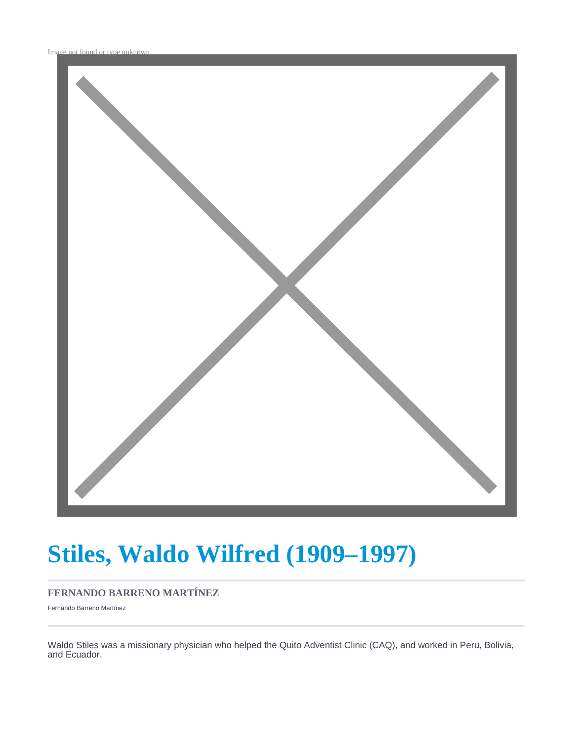

# **Stiles, Waldo Wilfred (1909–1997)**

#### **FERNANDO BARRENO MARTÍNEZ**

Fernando Barreno Martínez

Waldo Stiles was a missionary physician who helped the Quito Adventist Clinic (CAQ), and worked in Peru, Bolivia, and Ecuador.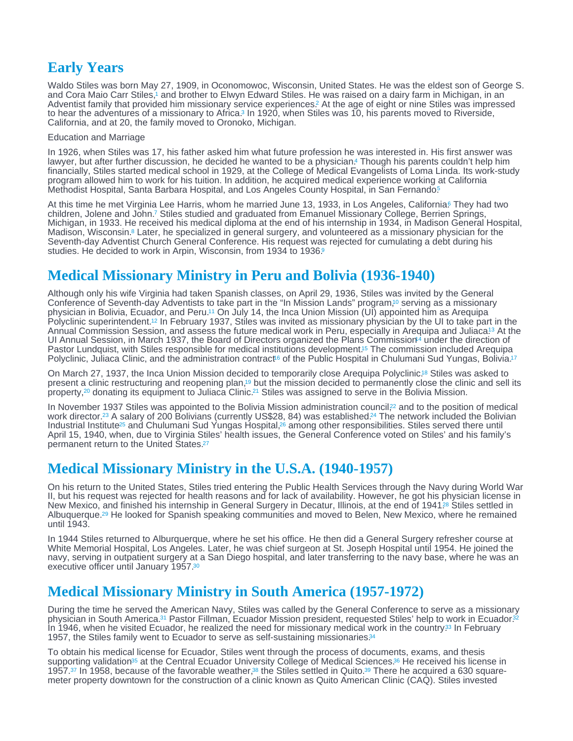### <span id="page-1-0"></span>Early Years

Waldo Stiles was born May 27, 1909, in Oconomowoc, Wisconsin, United States. He was the eldest son of George S. and Cora Maio Carr Stiles[,](#page-3-0)1 and brother to Elwyn Edward Stiles. He was raised on a dairy farm in Michigan, in an Adventist family that provided him missionary service experiences? At the age of eight or nine Stiles was impressed to hear the adventures of a missionary to Africa[.](#page-3-0)<sup>3</sup> In 1920, when Stiles was 10, his parents moved to Riverside, California, and at 20, the family moved to Oronoko, Michigan.

#### Education and Marriage

In 1926, when Stiles was 17, his father asked him what future profession he was interested in. His first answer was lawyer, but after further discussion, he decided he wanted to be a physician[.](#page-3-0)<sup>4</sup> Though his parents couldn't help him financially, Stiles started medical school in 1929, at the College of Medical Evangelists of Loma Linda. Its work-study program allowed him to work for his tuition. In addition, he acquired medical experience working at California Methodist Hospital, Santa Barbara Hospital, and Los Angeles County Hospital, in San Fernando[5](#page-3-0)

At this time he met Virginia Lee Harris, whom he married June 13, 1933, in Los Angeles, California<sup>®</sup> They had two children, Jolene and John[.](#page-3-0)<sup>7</sup> Stiles studied and graduated from Emanuel Missionary College, Berrien Springs, Michigan, in 1933. He received his medical diploma at the end of his internship in 1934, in Madison General Hospital, Madison, Wisconsin.<sup>8</sup> Later, he specialized in general surgery, and volunteered as a missionary physician for the Seventh-day Adventist Church General Conference. His request was rejected for cumulating a debt during his studies. He decided to work in Arpin, Wisconsin, from 1[9](#page-3-0)34 to 1936.9

### Medical Missionary Ministry in Peru and Bolivia (1936-1940)

Although only his wife Virginia had taken Spanish classes, on April 29, 1936, Stiles was invited by the General Conference of Seventh-day Adventists to take part in the "In Mission Lands" program[,](#page-3-0)<sup>10</sup> serving as a missionary physician in Bolivia, Ecuador, and Peru[.](#page-3-0)<sup>11</sup> On July 14, the Inca Union Mission (UI) appointed him as Arequipa Polyclinic superintendent[.](#page-3-0)<sup>12</sup> In February 1937, Stiles was invited as missionary physician by the UI to take part in the Annual Commission Session, and assess the future medical work in Peru, especially in Arequipa and Juliaca.<sup>13</sup> At the UI Annual Session, i[n](#page-4-0) March 1937, the Board of Directors organized the Plans Commission<sup>4</sup> under the direction of Pastor Lundquist, with Stiles responsible for medical institutions development[.](#page-4-0)<sup>15</sup> The commission included Arequipa Polyclinic, Juliaca Clinic, and [t](#page-4-0)he administration contract<sup>®</sup> of the Public Hospital in Chulumani Sud Yungas, Bolivia.<sup>[17](#page-4-0)</sup>

On March 27, 1937, the Inca Union Mission decided to temporarily close Arequipa Polyclinic[.](#page-4-0)<sup>18</sup> Stiles was asked to present a clinic restructuring and reopening plan,<sup>19</sup> but the mission decided to permanently close the clinic and sell its property[,](#page-4-0)<sup>20</sup> donating its equipment to Juliaca Clinic.<sup>21</sup> Stiles was assigned to serve in the Bolivia Mission.

In November 1937 Stiles was appointed to the Bolivia Mission administration council<sup>22</sup> and to the position of medical work director[.](#page-4-0)<sup>23</sup> A salary of 200 Bolivians (currently US\$28, 84) was established.<sup>24</sup> The network included the Bolivian Industrial Institut[e](#page-4-0)<sup>25</sup> and Chulumani Sud Yungas Hospital,<sup>26</sup> among other responsibilities. Stiles served there until April 15, 1940, when, due to Virginia Stiles' health issues, the General Conference voted on Stiles' and his family's permanent return to the United States. [27](#page-4-0)

# Medical Missionary Ministry in the U.S.A. (1940-1957)

On his return to the United States, Stiles tried entering the Public Health Services through the Navy during World War II, but his request was rejected for health reasons and for lack of availability. However, he got his physician license in New Mexico, and finished his internship in General Surgery in Decatur, Illinois, at the end of 1941<sup>28</sup> Stiles settled in Albuquerque.<sup>29</sup> He looked for Spanish speaking communities and moved to Belen, New Mexico, where he remained until 1943.

In 1944 Stiles returned to Alburquerque, where he set his office. He then did a General Surgery refresher course at White Memorial Hospital, Los Angeles. Later, he was chief surgeon at St. Joseph Hospital until 1954. He joined the navy, serving in outpatient surgery at a San Diego hospital, and later transferring to the navy base, where he was an executive officer until January 1957.[30](#page-4-0)

## Medical Missionary Ministry in South America (1957-1972)

During the time he served the American Navy, Stiles was called by the General Conference to serve as a missionary physician in South America.<sup>31</sup> Pastor Fillman, Ecuador Mission president, requested Stiles' help to work in Ecuador.<sup>[32](#page-4-0)</sup> In 1946, when he visited Ecuador, he realized the need for missionary medical work in the country<sup>33</sup> In February 1957, the Stiles family went to Ecuador to serve as self-sustaining missionaries.<sup>[34](#page-4-0)</sup>

To obtain his medical license for Ecuador, Stiles went through the process of documents, exams, and thesis supporti[n](#page-4-0)g validation<sup>35</sup> at the Central Ecuador University College of Medical Sciences[.](#page-4-0)<sup>36</sup> He received his license in 1957[.](#page-4-0)<sup>37</sup> In 1958[,](#page-4-0) because of the favorable weather,<sup>38</sup> the Stiles settled in Quito.<sup>39</sup> There he acquired a 630 squaremeter property downtown for the construction of a clinic known as Quito American Clinic (CAQ). Stiles invested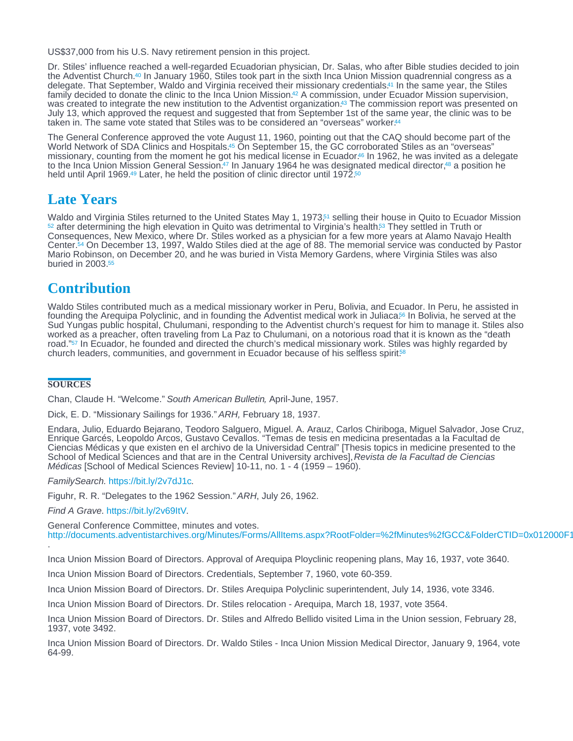<span id="page-2-0"></span>US\$37,000 from his U.S. Navy retirement pension in this project.

Dr. Stiles' influence reached a well-regarded Ecuadorian physician, Dr. Salas, who after Bible studies decided to join the Adventist Church.<sup>40</sup> In January 1960, Stiles took part in the sixth Inca Union Mission quadrennial congress as a delegate[.](#page-4-0) That September, Waldo and Virginia received their missionary credentials.<sup>41</sup> In the same year, the Stiles family decided to donate the clinic to the Inca Union Mission.<sup>42</sup> A commission, under Ecuador Mission supervision, was created to integrate the new institution to the Adventist organization.<sup>43</sup> The commission report was presented on July 13, which approved the request and suggested that from September 1st of the same year, the clinic was to be taken in. The same vote stated that Stiles was to be considered an "overseas" worker. [44](#page-4-0) 43

The General Conference approved the vote August 11, 1960, pointing out that the CAQ should become part of the World Network of SDA Clinics and Hospitals[.](#page-5-0)<sup>45</sup> On September 15, the GC corroborated Stiles as an "overseas" missionary, counting from the moment he got his medical license in Ecuador[.](#page-5-0)<sup>46</sup> In 1962, he was invited as a delegate to the Inca Union Mission General Session.<sup>47</sup> In January 1964 he was designated medical director[,](#page-5-0)<sup>48</sup> a position he held until April 1969[.](#page-5-0)<sup>49</sup> Later, he held the position of clinic director until 1972.<sup>[50](#page-5-0)</sup>

#### Late Years

Waldo and Virginia Stiles returned to the United States May 1[,](#page-5-0) 1973,<sup>51</sup> selling their house in Quito to Ecuador Mission  $^{52}$  $^{52}$  $^{52}$  after determining the high elevation in Quito was detrimental to Virginia's health. $^{53}$  They settled in Truth or Consequences, New Mexico, where Dr. Stiles worked as a physician for a few more years at Alamo Navajo Health Center.<sup>54</sup> On December 13, 1997, Waldo Stiles died at the age of 88[.](#page-5-0) The memorial service was conducted by Pastor Mario Robinson, on December 20, and he was buried in Vista Memory Gardens, where Virginia Stiles was also buried in 2003. [55](#page-5-0)

### **Contribution**

Waldo Stiles contributed much as a medical missionary worker in Peru, Bolivia, and Ecuador. In Peru, he assisted in founding the Arequipa Polyclinic, and in founding the Adventist medical work in Juliaca $^{56}$  In Bolivia, he served at the Sud Yungas public hospital, Chulumani, responding to the Adventist church's request for him to manage it. Stiles also worked as a preacher, often traveling from La Paz to Chulumani, on a notorious road that it is known as the "death road.["](#page-5-0)<sup>57</sup> In Ecuador, he founded and directed the church's medical missionary work. Stiles was highly regarded by church leaders, communities, and government in Ecuador because of his selfless spirit<sup>[58](#page-5-0)</sup>

#### **SOURCES**

Chan, Claude H. "Welcome." South American Bulletin, April-June, 1957.

Dick, E. D. "Missionary Sailings for 1936." ARH, February 18, 1937.

Endara, Julio, Eduardo Bejarano, Teodoro Salguero, Miguel. A. Arauz, Carlos Chiriboga, Miguel Salvador, Jose Cruz, Enrique Garcés, Leopoldo Arcos, Gustavo Cevallos. "Temas de tesis en medicina presentadas a la Facultad de Ciencias Médicas y que existen en el archivo de la Universidad Central" [Thesis topics in medicine presented to the School of Medical Sciences and that are in the Central University archives], Revista de la Facultad de Ciencias Médicas [School of Medical Sciences Review] 10-11, no. 1 - 4 (1959 – 1960).

FamilySearch. <https://bit.ly/2v7dJ1c>.

Figuhr, R. R. "Delegates to the 1962 Session." ARH, July 26, 1962.

Find A Grave. [https://bit.ly/2v69ItV.](https://bit.ly/2v69ItV)

General Conference Committee, minutes and votes. . http://documents.adventistarchives.org/Minutes/Forms/AllItems.aspx?RootFolder=%2fMinutes%2fGCC&FolderCTID=0x012000F1

Inca Union Mission Board of Directors. Approval of Arequipa Ployclinic reopening plans, May 16, 1937, vote 3640.

Inca Union Mission Board of Directors. Credentials, September 7, 1960, vote 60-359.

Inca Union Mission Board of Directors. Dr. Stiles Arequipa Polyclinic superintendent, July 14, 1936, vote 3346.

Inca Union Mission Board of Directors. Dr. Stiles relocation - Arequipa, March 18, 1937, vote 3564.

Inca Union Mission Board of Directors. Dr. Stiles and Alfredo Bellido visited Lima in the Union session, February 28, 1937, vote 3492.

Inca Union Mission Board of Directors. Dr. Waldo Stiles - Inca Union Mission Medical Director, January 9, 1964, vote 64-99.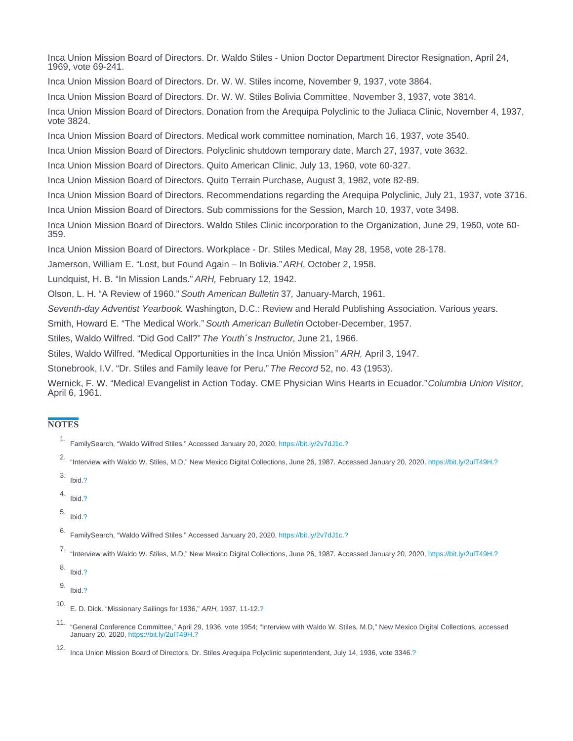<span id="page-3-0"></span>Inca Union Mission Board of Directors. Dr. Waldo Stiles - Union Doctor Department Director Resignation, April 24, 1969, vote 69-241. Inca Union Mission Board of Directors. Dr. W. W. Stiles income, November 9, 1937, vote 3864. Inca Union Mission Board of Directors. Dr. W. W. Stiles Bolivia Committee, November 3, 1937, vote 3814. Inca Union Mission Board of Directors. Donation from the Arequipa Polyclinic to the Juliaca Clinic, November 4, 1937, vote 3824. Inca Union Mission Board of Directors. Medical work committee nomination, March 16, 1937, vote 3540. Inca Union Mission Board of Directors. Polyclinic shutdown temporary date, March 27, 1937, vote 3632. Inca Union Mission Board of Directors. Quito American Clinic, July 13, 1960, vote 60-327. Inca Union Mission Board of Directors. Quito Terrain Purchase, August 3, 1982, vote 82-89. Inca Union Mission Board of Directors. Recommendations regarding the Arequipa Polyclinic, July 21, 1937, vote 3716. Inca Union Mission Board of Directors. Sub commissions for the Session, March 10, 1937, vote 3498. Inca Union Mission Board of Directors. Waldo Stiles Clinic incorporation to the Organization, June 29, 1960, vote 60- 359. Inca Union Mission Board of Directors. Workplace - Dr. Stiles Medical, May 28, 1958, vote 28-178. Jamerson, William E. "Lost, but Found Again – In Bolivia." ARH, October 2, 1958. Lundquist, H. B. "In Mission Lands." ARH, February 12, 1942. Olson, L. H. "A Review of 1960." South American Bulletin 37, January-March, 1961. Seventh-day Adventist Yearbook. Washington, D.C.: Review and Herald Publishing Association. Various years. Smith, Howard E. "The Medical Work." South American Bulletin October-December, 1957. Stiles, Waldo Wilfred. "Did God Call?" The Youth´s Instructor, June 21, 1966. Stiles, Waldo Wilfred. "Medical Opportunities in the Inca Unión Mission." ARH, April 3, 1947.

Stonebrook, I.V. "Dr. Stiles and Family leave for Peru." The Record 52, no. 43 (1953).

Wernick, F. W. "Medical Evangelist in Action Today. CME Physician Wins Hearts in Ecuador." Columbia Union Visitor, April 6, 1961.

#### **NOTES**

- 1. FamilySearch, "Waldo Wilfred Stiles." Accessed January 20, 2020,<https://bit.ly/2v7dJ1c>[.?](#page-1-0)
- 2. "Interview with Waldo W. Stiles, M.D," New Mexico Digital Collections, June 26, 1987. Accessed January 20, 2020, <https://bit.ly/2ulT49H>[.?](#page-1-0)
- 3. Ibid[.?](#page-1-0)
- 4. Ibid[.?](#page-1-0)
- 5. Ibid[.?](#page-1-0)

6. FamilySearch, "Waldo Wilfred Stiles." Accessed January 20, 2020,<https://bit.ly/2v7dJ1c>[.?](#page-1-0)

7. "Interview with Waldo W. Stiles, M.D," New Mexico Digital Collections, June 26, 1987. Accessed January 20, 2020, <https://bit.ly/2ulT49H>[.?](#page-1-0)

8. Ibid[.?](#page-1-0)

9. Ibid[.?](#page-1-0)

10. E. D. Dick. "Missionary Sailings for 1936," ARH, 1937, 11-12.[?](#page-1-0)

11. "General Conference Committee," April 29, 1936, vote 1954; "Interview with Waldo W. Stiles, M.D," New Mexico Digital Collections, accessed January 20, 2020, [https://bit.ly/2ulT49H.](https://bit.ly/2ulT49H)[?](#page-1-0)

12. Inca Union Mission Board of Directors, Dr. Stiles Arequipa Polyclinic superintendent, July 14, 1936, vote 3346.[?](#page-1-0)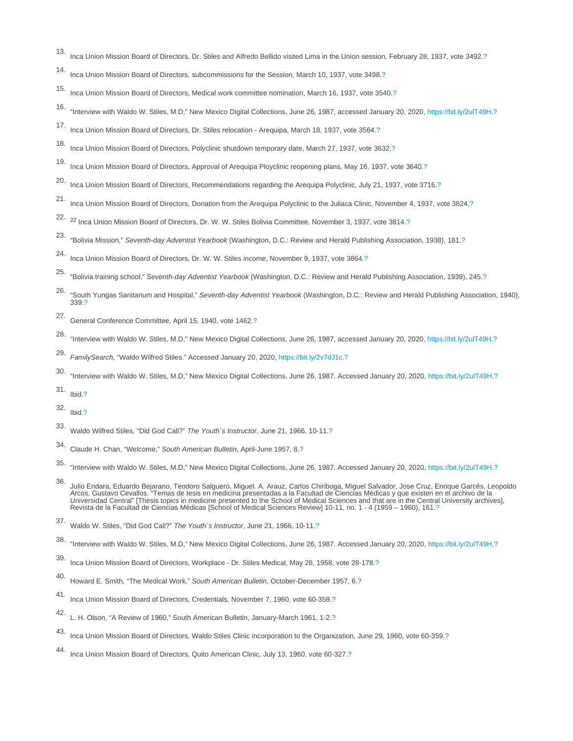- <span id="page-4-0"></span>13. Inca Union Mission Board of Directors, Dr. Stiles and Alfredo Bellido visited Lima in the Union session, February 28, 1937, vote 3492[.?](#page-1-0)
- 14. Inca Union Mission Board of Directors, subcommissions for the Session, March 10, 1937, vote 3498[.?](#page-1-0)
- 15. Inca Union Mission Board of Directors, Medical work committee nomination, March 16, 1937, vote 3540.[?](#page-1-0)
- 16. "Interview with Waldo W. Stiles, M.D," New Mexico Digital Collections, June 26, 1987, accessed January 20, 2020, <https://bit.ly/2ulT49H>[.?](#page-1-0)
- 17. Inca Union Mission Board of Directors, Dr. Stiles relocation Arequipa, March 18, 1937, vote 3564[.?](#page-1-0)
- 18. Inca Union Mission Board of Directors, Polyclinic shutdown temporary date, March 27, 1937, vote 3632.[?](#page-1-0)
- Inca Union Mission Board of Directors, Approval of Arequipa Ployclinic reopening plans, May 16, 1937, vote 3640.[?](#page-1-0)
- 20. Inca Union Mission Board of Directors, Recommendations regarding the Arequipa Polyclinic, July 21, 1937, vote 3716[.?](#page-1-0)
- 21. Inca Union Mission Board of Directors, Donation from the Arequipa Polyclinic to the Juliaca Clinic, November 4, 1937, vote 3824.[?](#page-1-0)
- 22. <sup>22</sup> Inca Union Mission Board of Directors, Dr. W. W. Stiles Bolivia Committee, November 3, 1937, vote 3814[.?](#page-1-0)
- 23. "Bolivia Mission," Seventh-day Adventist Yearbook (Washington, D.C.: Review and Herald Publishing Association, 1938), 181[.?](#page-1-0)
- 24. Inca Union Mission Board of Directors, Dr. W. W. Stiles income, November 9, 1937, vote 3864[.?](#page-1-0)
- 25. "Bolivia training school," Seventh-day Adventist Yearbook (Washington, D.C.: Review and Herald Publishing Association, 1939), 245[.?](#page-1-0)
- 26. "South Yungas Sanitarium and Hospital," Seventh-day Adventist Yearbook (Washington, D.C.: Review and Herald Publishing Association, 1940), 339.[?](#page-1-0)
- 27. General Conference Committee, April 15, 1940, vote 1462.[?](#page-1-0)
- 28. "Interview with Waldo W. Stiles, M.D," New Mexico Digital Collections, June 26, 1987, accessed January 20, 2020, <https://bit.ly/2ulT49H>[.?](#page-1-0)
- 29. FamilySearch, "Waldo Wilfred Stiles." Accessed January 20, 2020,<https://bit.ly/2v7dJ1c>[.?](#page-1-0)
- 30. "Interview with Waldo W. Stiles, M.D," New Mexico Digital Collections, June 26, 1987. Accessed January 20, 2020, <https://bit.ly/2ulT49H>[.?](#page-1-0)
- 31. Ibid[.?](#page-1-0)
- 32. Ibid[.?](#page-1-0)
- 33. Waldo Wilfred Stiles, "Did God Call?" The Youth´s Instructor, June 21, 1966, 10-11[.?](#page-1-0)
- 34. Claude H. Chan, "Welcome," South American Bulletin, April-June 1957, 8[.?](#page-1-0)
- 35. "Interview with Waldo W. Stiles, M.D," New Mexico Digital Collections, June 26, 1987. Accessed January 20, 2020, <https://bit.ly/2ulT49H>[.?](#page-1-0)
- 36. Julio Endara, Eduardo Bejarano, Teodoro Salguero, Miguel. A. Arauz, Carlos Chiriboga, Miguel Salvador, Jose Cruz, Enrique Garcés, Leopoldo Arcos, Gustavo Cevallos. "Temas de tesis en medicina presentadas a la Facultad
- 37. Waldo W. Stiles, "Did God Call?" The Youth´s Instructor, June 21, 1966, 10-11[.?](#page-1-0)
- 38. "Interview with Waldo W. Stiles, M.D," New Mexico Digital Collections, June 26, 1987. Accessed January 20, 2020, <https://bit.ly/2ulT49H>[.?](#page-1-0)
- 39. Inca Union Mission Board of Directors, Workplace Dr. Stiles Medical, May 28, 1958, vote 28-178.[?](#page-1-0)
- 40. Howard E. Smith, "The Medical Work," South American Bulletin, October-December 1957, 6[.?](#page-2-0)
- 41. Inca Union Mission Board of Directors, Credentials, November 7, 1960, vote 60-359.[?](#page-2-0)
- 42. L. H. Olson, "A Review of 1960," South American Bulletin, January-March 1961, 1-2.[?](#page-2-0)
- Inca Union Mission Board of Directors, Waldo Stiles Clinic incorporation to the Organization, June 29, 1960, vote 60-359.[?](#page-2-0)
- 44. Inca Union Mission Board of Directors, Quito American Clinic, July 13, 1960, vote 60-327.[?](#page-2-0)